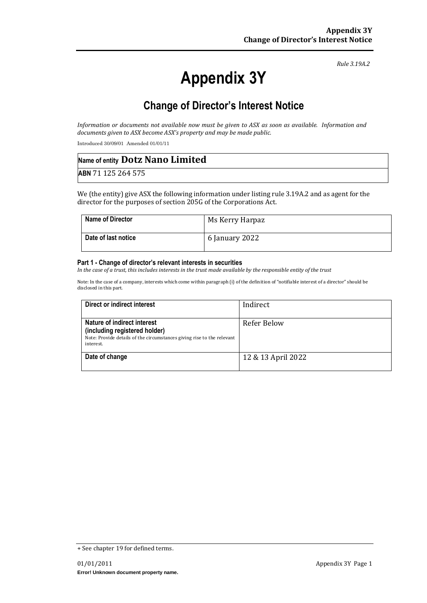# **Appendix 3Y**

*Rule 3.19A.2*

# **Change of Director's Interest Notice**

*Information or documents not available now must be given to ASX as soon as available. Information and documents given to ASX become ASX's property and may be made public.*

Introduced 30/09/01 Amended 01/01/11

| Name of entity Dotz Nano Limited |  |
|----------------------------------|--|
| ABN 71 125 264 575               |  |

We (the entity) give ASX the following information under listing rule 3.19A.2 and as agent for the director for the purposes of section 205G of the Corporations Act.

| <b>Name of Director</b> | Ms Kerry Harpaz |
|-------------------------|-----------------|
| Date of last notice     | 6 January 2022  |

#### **Part 1 - Change of director's relevant interests in securities**

*In the case of a trust, this includes interests in the trust made available by the responsible entity of the trust*

Note: In the case of a company, interests which come within paragraph (i) of the definition of "notifiable interest of a director" should be disclosed in this part.

| Direct or indirect interest                                                                                                                         | Indirect           |
|-----------------------------------------------------------------------------------------------------------------------------------------------------|--------------------|
| Nature of indirect interest<br>(including registered holder)<br>Note: Provide details of the circumstances giving rise to the relevant<br>interest. | Refer Below        |
| Date of change                                                                                                                                      | 12 & 13 April 2022 |

<sup>+</sup> See chapter 19 for defined terms.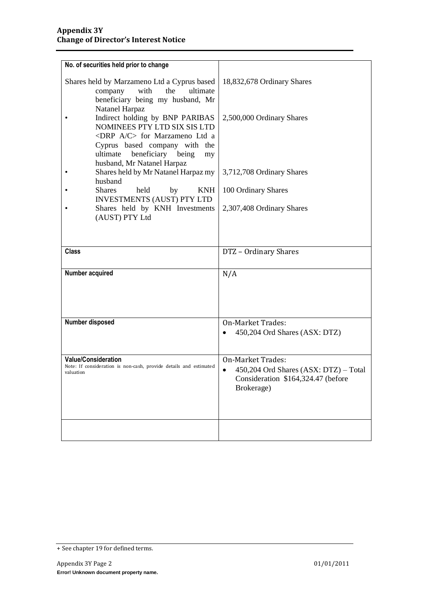| No. of securities held prior to change                                                                                                    |                                                                                                                       |
|-------------------------------------------------------------------------------------------------------------------------------------------|-----------------------------------------------------------------------------------------------------------------------|
| Shares held by Marzameno Ltd a Cyprus based<br>with<br>the<br>ultimate<br>company<br>beneficiary being my husband, Mr                     | 18,832,678 Ordinary Shares                                                                                            |
| Natanel Harpaz<br>Indirect holding by BNP PARIBAS<br>NOMINEES PTY LTD SIX SIS LTD<br><drp a="" c=""> for Marzameno Ltd a</drp>            | 2,500,000 Ordinary Shares                                                                                             |
| Cyprus based company with the<br>beneficiary being<br>ultimate<br>my<br>husband, Mr Natanel Harpaz<br>Shares held by Mr Natanel Harpaz my | 3,712,708 Ordinary Shares                                                                                             |
| husband<br>held<br><b>KNH</b><br><b>Shares</b><br>by                                                                                      | 100 Ordinary Shares                                                                                                   |
| <b>INVESTMENTS (AUST) PTY LTD</b><br>Shares held by KNH Investments<br>(AUST) PTY Ltd                                                     | 2,307,408 Ordinary Shares                                                                                             |
|                                                                                                                                           |                                                                                                                       |
| <b>Class</b>                                                                                                                              | DTZ - Ordinary Shares                                                                                                 |
| Number acquired                                                                                                                           | N/A                                                                                                                   |
| Number disposed                                                                                                                           | On-Market Trades:<br>450,204 Ord Shares (ASX: DTZ)                                                                    |
| Value/Consideration<br>Note: If consideration is non-cash, provide details and estimated<br>valuation                                     | <b>On-Market Trades:</b><br>450,204 Ord Shares (ASX: DTZ) - Total<br>Consideration \$164,324.47 (before<br>Brokerage) |
|                                                                                                                                           |                                                                                                                       |

<sup>+</sup> See chapter 19 for defined terms.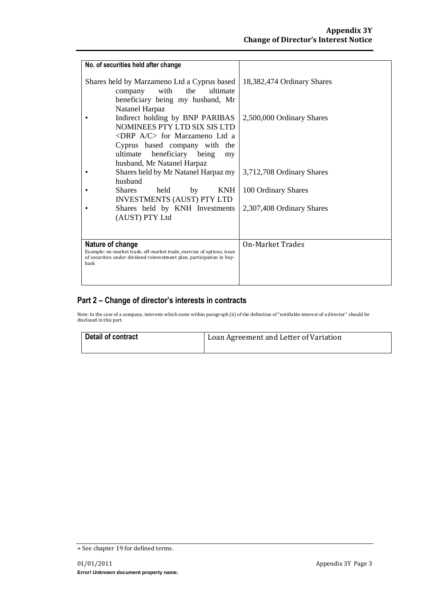| No. of securities held after change                                                                                                             |                            |
|-------------------------------------------------------------------------------------------------------------------------------------------------|----------------------------|
| Shares held by Marzameno Ltd a Cyprus based                                                                                                     | 18,382,474 Ordinary Shares |
| with<br>ultimate<br>the<br>company<br>beneficiary being my husband, Mr                                                                          |                            |
| Natanel Harpaz                                                                                                                                  |                            |
| Indirect holding by BNP PARIBAS                                                                                                                 | 2,500,000 Ordinary Shares  |
| NOMINEES PTY LTD SIX SIS LTD                                                                                                                    |                            |
| <drp a="" c=""> for Marzameno Ltd a<br/>Cyprus based company with the</drp>                                                                     |                            |
| beneficiary being<br>ultimate<br>my                                                                                                             |                            |
| husband, Mr Natanel Harpaz                                                                                                                      |                            |
| Shares held by Mr Natanel Harpaz my<br>husband                                                                                                  | 3,712,708 Ordinary Shares  |
| held<br><b>KNH</b><br><b>Shares</b><br>by                                                                                                       | 100 Ordinary Shares        |
| <b>INVESTMENTS (AUST) PTY LTD</b>                                                                                                               |                            |
| Shares held by KNH Investments                                                                                                                  | 2,307,408 Ordinary Shares  |
| (AUST) PTY Ltd                                                                                                                                  |                            |
|                                                                                                                                                 |                            |
| Nature of change                                                                                                                                | On-Market Trades           |
| Example: on-market trade, off-market trade, exercise of options, issue<br>of securities under dividend reinvestment plan, participation in buy- |                            |
| back                                                                                                                                            |                            |
|                                                                                                                                                 |                            |

### **Part 2 – Change of director's interests in contracts**

Note: In the case of a company, interests which come within paragraph (ii) of the definition of "notifiable interest of a director" should be disclosed in this part.

| Detail of contract | Loan Agreement and Letter of Variation |
|--------------------|----------------------------------------|
|                    |                                        |

<sup>+</sup> See chapter 19 for defined terms.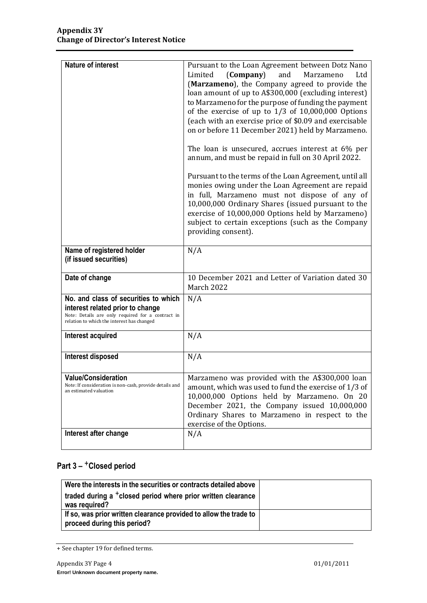| <b>Nature of interest</b>                                                                                                                                                   |                                                                                                                                                                                                                                                                                                                                                                                                                                                                                                                                                                                                                                                                                                                                                                                                                                                                                                                  |
|-----------------------------------------------------------------------------------------------------------------------------------------------------------------------------|------------------------------------------------------------------------------------------------------------------------------------------------------------------------------------------------------------------------------------------------------------------------------------------------------------------------------------------------------------------------------------------------------------------------------------------------------------------------------------------------------------------------------------------------------------------------------------------------------------------------------------------------------------------------------------------------------------------------------------------------------------------------------------------------------------------------------------------------------------------------------------------------------------------|
|                                                                                                                                                                             | Pursuant to the Loan Agreement between Dotz Nano<br>(Company)<br>and<br>Marzameno<br>Limited<br>Ltd<br>(Marzameno), the Company agreed to provide the<br>loan amount of up to A\$300,000 (excluding interest)<br>to Marzameno for the purpose of funding the payment<br>of the exercise of up to $1/3$ of $10,000,000$ Options<br>(each with an exercise price of \$0.09 and exercisable<br>on or before 11 December 2021) held by Marzameno.<br>The loan is unsecured, accrues interest at 6% per<br>annum, and must be repaid in full on 30 April 2022.<br>Pursuant to the terms of the Loan Agreement, until all<br>monies owing under the Loan Agreement are repaid<br>in full, Marzameno must not dispose of any of<br>10,000,000 Ordinary Shares (issued pursuant to the<br>exercise of 10,000,000 Options held by Marzameno)<br>subject to certain exceptions (such as the Company<br>providing consent). |
| Name of registered holder<br>(if issued securities)                                                                                                                         | N/A                                                                                                                                                                                                                                                                                                                                                                                                                                                                                                                                                                                                                                                                                                                                                                                                                                                                                                              |
| Date of change                                                                                                                                                              | 10 December 2021 and Letter of Variation dated 30<br>March 2022                                                                                                                                                                                                                                                                                                                                                                                                                                                                                                                                                                                                                                                                                                                                                                                                                                                  |
| No. and class of securities to which<br>interest related prior to change<br>Note: Details are only required for a contract in<br>relation to which the interest has changed | N/A                                                                                                                                                                                                                                                                                                                                                                                                                                                                                                                                                                                                                                                                                                                                                                                                                                                                                                              |
| Interest acquired                                                                                                                                                           | N/A                                                                                                                                                                                                                                                                                                                                                                                                                                                                                                                                                                                                                                                                                                                                                                                                                                                                                                              |
| Interest disposed                                                                                                                                                           | N/A                                                                                                                                                                                                                                                                                                                                                                                                                                                                                                                                                                                                                                                                                                                                                                                                                                                                                                              |
| <b>Value/Consideration</b><br>Note: If consideration is non-cash, provide details and<br>an estimated valuation                                                             | Marzameno was provided with the A\$300,000 loan<br>amount, which was used to fund the exercise of 1/3 of<br>10,000,000 Options held by Marzameno. On 20<br>December 2021, the Company issued 10,000,000<br>Ordinary Shares to Marzameno in respect to the<br>exercise of the Options.                                                                                                                                                                                                                                                                                                                                                                                                                                                                                                                                                                                                                            |
| Interest after change                                                                                                                                                       | N/A                                                                                                                                                                                                                                                                                                                                                                                                                                                                                                                                                                                                                                                                                                                                                                                                                                                                                                              |

## **Part 3 –** +**Closed period**

| Were the interests in the securities or contracts detailed above                                 |  |
|--------------------------------------------------------------------------------------------------|--|
| traded during a <sup>+</sup> closed period where prior written clearance<br>was required?        |  |
| If so, was prior written clearance provided to allow the trade to<br>proceed during this period? |  |

<sup>+</sup> See chapter 19 for defined terms.